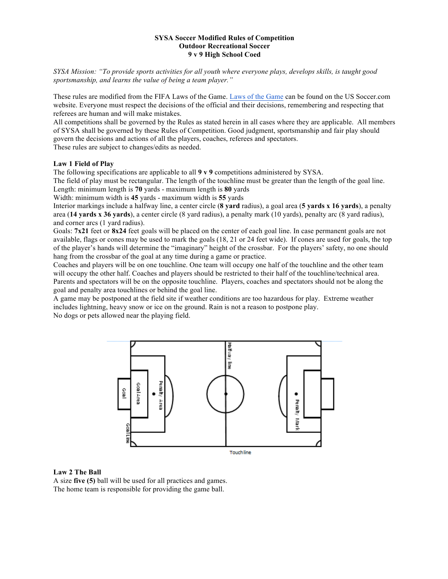#### **SYSA Soccer Modified Rules of Competition Outdoor Recreational Soccer 9 v 9 High School Coed**

*SYSA Mission: "To provide sports activities for all youth where everyone plays, develops skills, is taught good sportsmanship, and learns the value of being a team player."*

These rules are modified from the FIFA Laws of the Game. Laws of the Game can be found on the US Soccer.com website. Everyone must respect the decisions of the official and their decisions, remembering and respecting that referees are human and will make mistakes.

All competitions shall be governed by the Rules as stated herein in all cases where they are applicable. All members of SYSA shall be governed by these Rules of Competition. Good judgment, sportsmanship and fair play should govern the decisions and actions of all the players, coaches, referees and spectators.

These rules are subject to changes/edits as needed.

#### **Law 1 Field of Play**

The following specifications are applicable to all **9 v 9** competitions administered by SYSA.

The field of play must be rectangular. The length of the touchline must be greater than the length of the goal line. Length: minimum length is **70** yards - maximum length is **80** yards

Width: minimum width is **45** yards - maximum width is **55** yards

Interior markings include a halfway line, a center circle (**8 yard** radius), a goal area (**5 yards x 16 yards**), a penalty area (**14 yards x 36 yards**), a center circle (8 yard radius), a penalty mark (10 yards), penalty arc (8 yard radius), and corner arcs (1 yard radius).

Goals: **7x21** feet or **8x24** feet goals will be placed on the center of each goal line. In case permanent goals are not available, flags or cones may be used to mark the goals (18, 21 or 24 feet wide). If cones are used for goals, the top of the player's hands will determine the "imaginary" height of the crossbar. For the players' safety, no one should hang from the crossbar of the goal at any time during a game or practice.

Coaches and players will be on one touchline. One team will occupy one half of the touchline and the other team will occupy the other half. Coaches and players should be restricted to their half of the touchline/technical area. Parents and spectators will be on the opposite touchline. Players, coaches and spectators should not be along the goal and penalty area touchlines or behind the goal line.

A game may be postponed at the field site if weather conditions are too hazardous for play. Extreme weather includes lightning, heavy snow or ice on the ground. Rain is not a reason to postpone play.

No dogs or pets allowed near the playing field.



#### **Law 2 The Ball**

A size **five (5)** ball will be used for all practices and games. The home team is responsible for providing the game ball.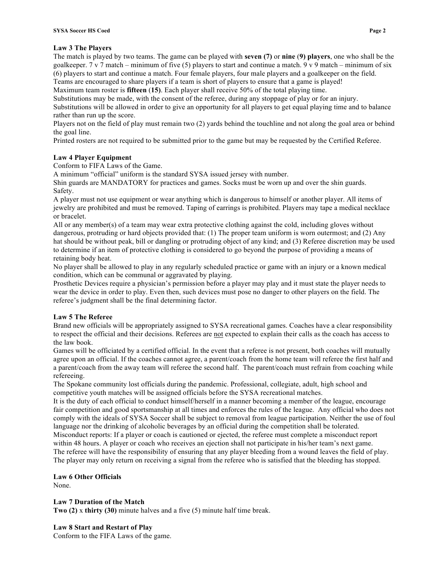# **Law 3 The Players**

The match is played by two teams. The game can be played with **seven (7)** or **nine** (**9) players**, one who shall be the goalkeeper. 7 v 7 match – minimum of five (5) players to start and continue a match. 9 v 9 match – minimum of six (6) players to start and continue a match. Four female players, four male players and a goalkeeper on the field. Teams are encouraged to share players if a team is short of players to ensure that a game is played!

Maximum team roster is **fifteen** (**15)**. Each player shall receive 50% of the total playing time.

Substitutions may be made, with the consent of the referee, during any stoppage of play or for an injury.

Substitutions will be allowed in order to give an opportunity for all players to get equal playing time and to balance rather than run up the score.

Players not on the field of play must remain two (2) yards behind the touchline and not along the goal area or behind the goal line.

Printed rosters are not required to be submitted prior to the game but may be requested by the Certified Referee.

# **Law 4 Player Equipment**

Conform to FIFA Laws of the Game.

A minimum "official" uniform is the standard SYSA issued jersey with number.

Shin guards are MANDATORY for practices and games. Socks must be worn up and over the shin guards. Safety.

A player must not use equipment or wear anything which is dangerous to himself or another player. All items of jewelry are prohibited and must be removed. Taping of earrings is prohibited. Players may tape a medical necklace or bracelet.

All or any member(s) of a team may wear extra protective clothing against the cold, including gloves without dangerous, protruding or hard objects provided that: (1) The proper team uniform is worn outermost; and (2) Any hat should be without peak, bill or dangling or protruding object of any kind; and (3) Referee discretion may be used to determine if an item of protective clothing is considered to go beyond the purpose of providing a means of retaining body heat.

No player shall be allowed to play in any regularly scheduled practice or game with an injury or a known medical condition, which can be communal or aggravated by playing.

Prosthetic Devices require a physician's permission before a player may play and it must state the player needs to wear the device in order to play. Even then, such devices must pose no danger to other players on the field. The referee's judgment shall be the final determining factor.

## **Law 5 The Referee**

Brand new officials will be appropriately assigned to SYSA recreational games. Coaches have a clear responsibility to respect the official and their decisions. Referees are not expected to explain their calls as the coach has access to the law book.

Games will be officiated by a certified official. In the event that a referee is not present, both coaches will mutually agree upon an official. If the coaches cannot agree, a parent/coach from the home team will referee the first half and a parent/coach from the away team will referee the second half. The parent/coach must refrain from coaching while refereeing.

The Spokane community lost officials during the pandemic. Professional, collegiate, adult, high school and competitive youth matches will be assigned officials before the SYSA recreational matches.

It is the duty of each official to conduct himself/herself in a manner becoming a member of the league, encourage fair competition and good sportsmanship at all times and enforces the rules of the league. Any official who does not comply with the ideals of SYSA Soccer shall be subject to removal from league participation. Neither the use of foul language nor the drinking of alcoholic beverages by an official during the competition shall be tolerated. Misconduct reports: If a player or coach is cautioned or ejected, the referee must complete a misconduct report within 48 hours. A player or coach who receives an ejection shall not participate in his/her team's next game. The referee will have the responsibility of ensuring that any player bleeding from a wound leaves the field of play. The player may only return on receiving a signal from the referee who is satisfied that the bleeding has stopped.

**Law 6 Other Officials**

None.

# **Law 7 Duration of the Match**

**Two (2)** x **thirty (30)** minute halves and a five (5) minute half time break.

# **Law 8 Start and Restart of Play**

Conform to the FIFA Laws of the game.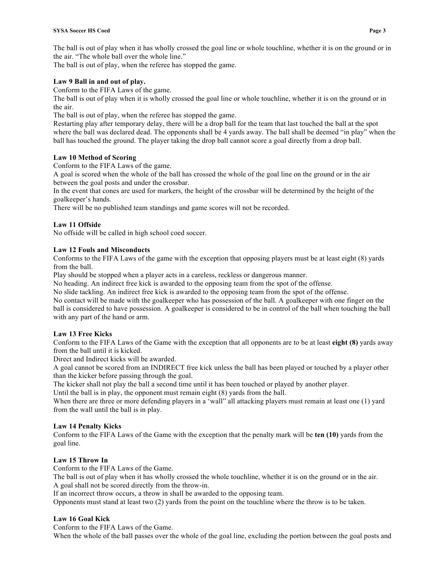The ball is out of play when it has wholly crossed the goal line or whole touchline, whether it is on the ground or in the air. "The whole ball over the whole line."

The ball is out of play, when the referee has stopped the game.

# **Law 9 Ball in and out of play.**

Conform to the FIFA Laws of the game.

The ball is out of play when it is wholly crossed the goal line or whole touchline, whether it is on the ground or in the air.

The ball is out of play, when the referee has stopped the game.

Restarting play after temporary delay, there will be a drop ball for the team that last touched the ball at the spot where the ball was declared dead. The opponents shall be 4 yards away. The ball shall be deemed "in play" when the ball has touched the ground. The player taking the drop ball cannot score a goal directly from a drop ball.

## **Law 10 Method of Scoring**

Conform to the FIFA Laws of the game.

A goal is scored when the whole of the ball has crossed the whole of the goal line on the ground or in the air between the goal posts and under the crossbar.

In the event that cones are used for markers, the height of the crossbar will be determined by the height of the goalkeeper's hands.

There will be no published team standings and game scores will not be recorded.

# **Law 11 Offside**

No offside will be called in high school coed soccer.

## **Law 12 Fouls and Misconducts**

Conforms to the FIFA Laws of the game with the exception that opposing players must be at least eight (8) yards from the ball.

Play should be stopped when a player acts in a careless, reckless or dangerous manner.

No heading. An indirect free kick is awarded to the opposing team from the spot of the offense.

No slide tackling. An indirect free kick is awarded to the opposing team from the spot of the offense.

No contact will be made with the goalkeeper who has possession of the ball. A goalkeeper with one finger on the ball is considered to have possession. A goalkeeper is considered to be in control of the ball when touching the ball with any part of the hand or arm.

## **Law 13 Free Kicks**

Conform to the FIFA Laws of the Game with the exception that all opponents are to be at least **eight (8)** yards away from the ball until it is kicked.

Direct and Indirect kicks will be awarded.

A goal cannot be scored from an INDIRECT free kick unless the ball has been played or touched by a player other than the kicker before passing through the goal.

The kicker shall not play the ball a second time until it has been touched or played by another player.

Until the ball is in play, the opponent must remain eight (8) yards from the ball.

When there are three or more defending players in a 'wall' all attacking players must remain at least one (1) yard from the wall until the ball is in play.

## **Law 14 Penalty Kicks**

Conform to the FIFA Laws of the Game with the exception that the penalty mark will be **ten (10)** yards from the goal line.

## **Law 15 Throw In**

Conform to the FIFA Laws of the Game.

The ball is out of play when it has wholly crossed the whole touchline, whether it is on the ground or in the air. A goal shall not be scored directly from the throw-in.

If an incorrect throw occurs, a throw in shall be awarded to the opposing team.

Opponents must stand at least two (2) yards from the point on the touchline where the throw is to be taken.

## **Law 16 Goal Kick**

Conform to the FIFA Laws of the Game.

When the whole of the ball passes over the whole of the goal line, excluding the portion between the goal posts and